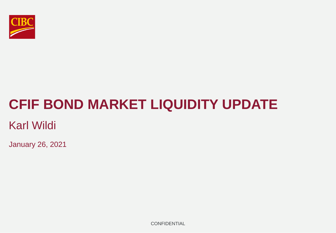

# **CFIF BOND MARKET LIQUIDITY UPDATE**

# Karl Wildi

January 26, 2021

**CONFIDENTIAL**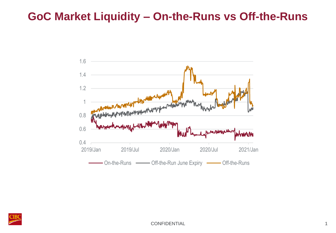#### **GoC Market Liquidity – On-the-Runs vs Off-the-Runs**



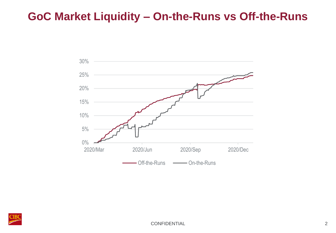# **GoC Market Liquidity – On-the-Runs vs Off-the-Runs**



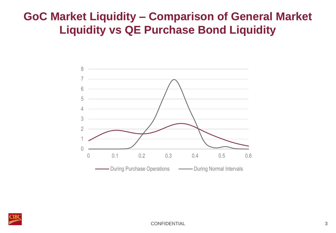# **GoC Market Liquidity – Comparison of General Market Liquidity vs QE Purchase Bond Liquidity**



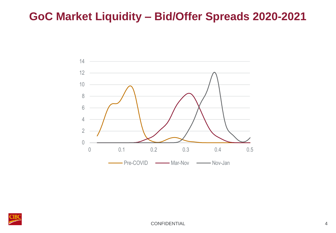#### **GoC Market Liquidity – Bid/Offer Spreads 2020-2021**



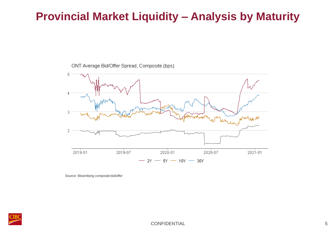# **Provincial Market Liquidity – Analysis by Maturity**

ONT Average Bid/Offer Spread, Composite (bps)



Source: Bloomberg composite bid/offer

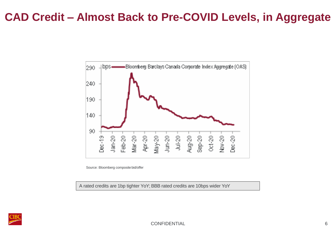# **CAD Credit – Almost Back to Pre-COVID Levels, in Aggregate**



Source: Bloomberg composite bid/offer

A rated credits are 1bp tighter YoY; BBB rated credits are 10bps wider YoY



CONFIDENTIAL 6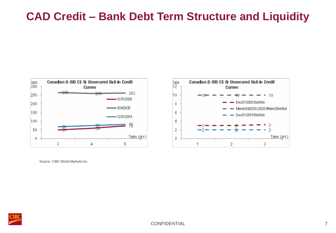# **CAD Credit – Bank Debt Term Structure and Liquidity**





Source: CIBC World Markets Inc.